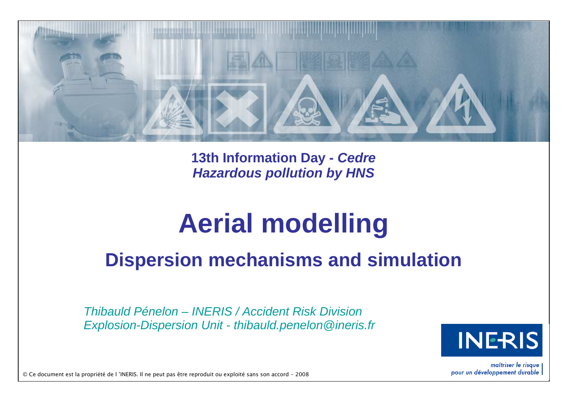

**13th Information Day - Cedre Hazardous pollution by HNS**

# **Aerial modelling**

# **Dispersion mechanisms and simulation**

Thibauld Pénelon – INERIS / Accident Risk DivisionExplosion-Dispersion Unit - thibauld.penelon@ineris.fr



maîtriser le risque pour un développement durable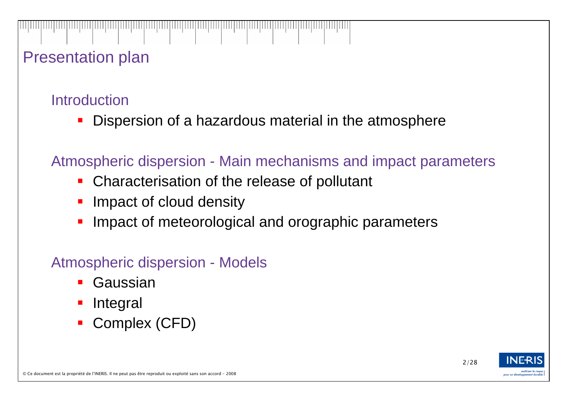# Presentation plan

# **Introduction**

 $\blacksquare$ Dispersion of a hazardous material in the atmosphere

Atmospheric dispersion - Main mechanisms and impact parameters

- **Characterisation of the release of pollutant**
- $\blacksquare$ Impact of cloud density
- $\mathcal{L}_{\mathcal{A}}$ Impact of meteorological and orographic parameters

# Atmospheric dispersion - Models

- **Gaussian**
- T. Integral
- T. Complex (CFD)

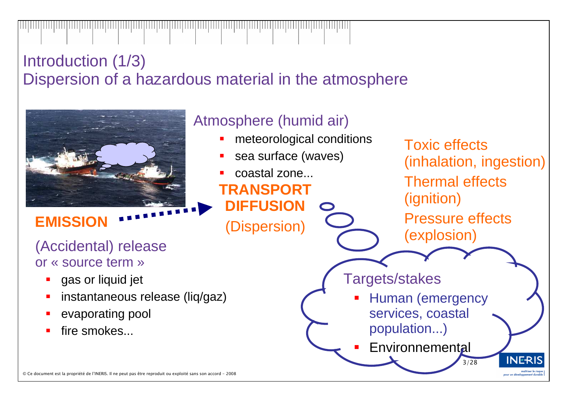Introduction (1/3)Dispersion of a hazardous material in the atmosphere

П

L

ш



# **EMISSION**

### (Accidental) releaseor « source term »

- **gas or liquid jet** П
- П instantaneous release (liq/gaz)
- H evaporating pool
- П fire smokes...

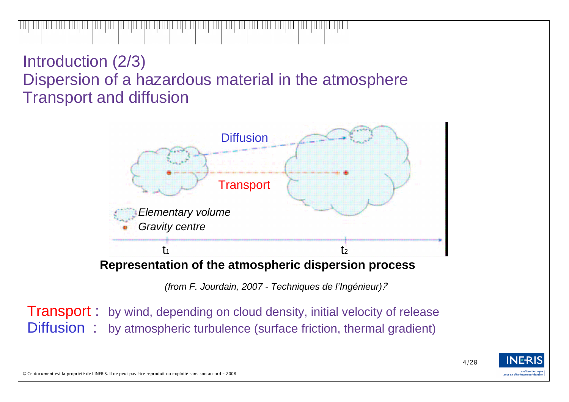Introduction (2/3) Dispersion of a hazardous material in the atmosphereTransport and diffusion



#### **Representation of the atmospheric dispersion process**

(from F. Jourdain, 2007 - Techniques de l'Ingénieur)?

**Transport**: by wind, depending on cloud density, initial velocity of release Diffusion : by atmospheric turbulence (surface friction, thermal gradient)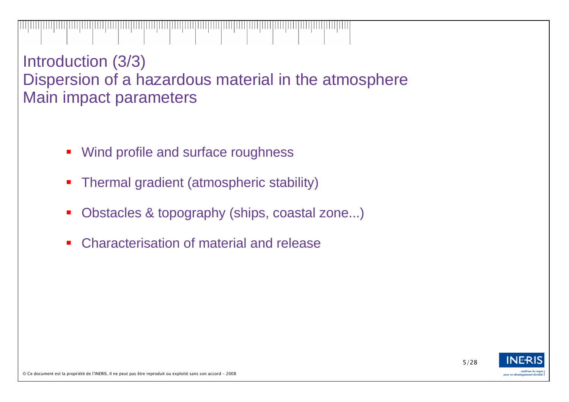Introduction (3/3) Dispersion of a hazardous material in the atmosphereMain impact parameters

- **Wind profile and surface roughness**
- $\blacksquare$ Thermal gradient (atmospheric stability)
- L. Obstacles & topography (ships, coastal zone...)
- $\mathcal{L}_{\mathcal{A}}$ Characterisation of material and release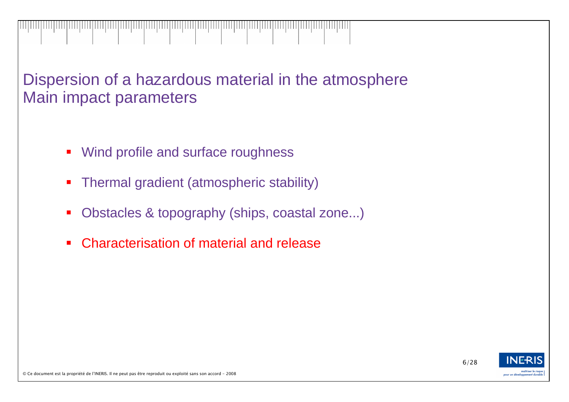Dispersion of a hazardous material in the atmosphereMain impact parameters

- **Wind profile and surface roughness**
- $\blacksquare$ Thermal gradient (atmospheric stability)
- L. Obstacles & topography (ships, coastal zone...)
- $\blacksquare$ Characterisation of material and release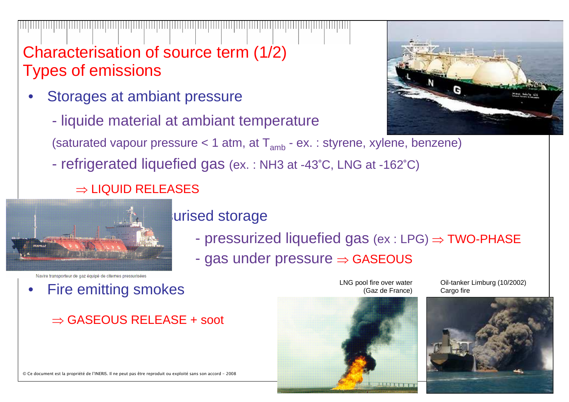# Characterisation of source term (1/2)Types of emissions

- • Storages at ambiant pressure
	- liquide material at ambiant temperature



- (saturated vapour pressure  $< 1$  atm, at  $T_{amb}$  ex. : styrene, xylene, benzene)
- refrigerated liquefied gas (ex. : NH3 at -43°C, LNG at -162°C)
	- ⇒ LIQUID RELEASES



### urised storage

- pressurized liquefied gas (ex : LPG) ⇒ TWO-PHASE
- gas under pressure ⇒ GASEOUS

Navire transporteur de gaz équipé de citernes pressurisées

- • Fire emitting smokes
	- $\Rightarrow$  GASEOUS RELEASE + soot

LNG pool fire over water(Gaz de France)



Oil-tanker Limburg (10/2002)Cargo fire

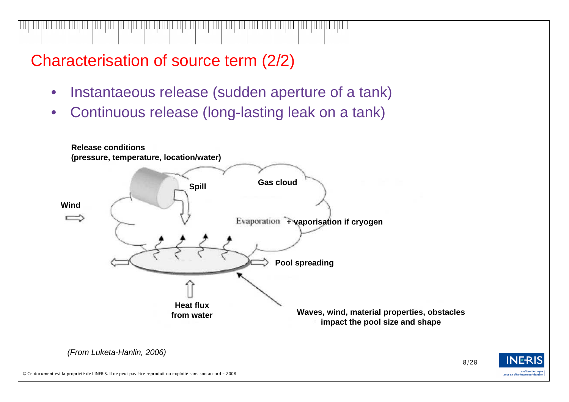Characterisation of source term (2/2)

- $\bullet$ Instantaeous release (sudden aperture of a tank)
- $\bullet$ Continuous release (long-lasting leak on a tank)

![](_page_7_Figure_3.jpeg)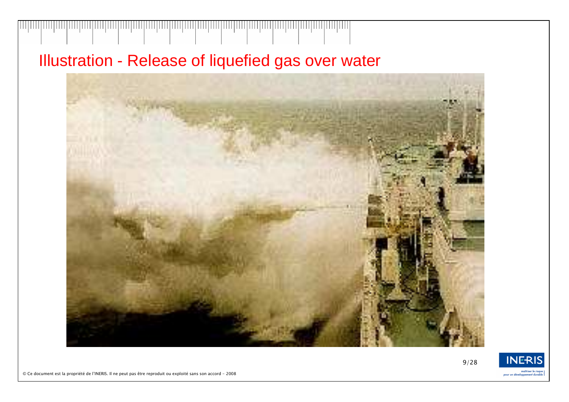# Illustration - Release of liquefied gas over water

![](_page_8_Picture_2.jpeg)

![](_page_8_Picture_4.jpeg)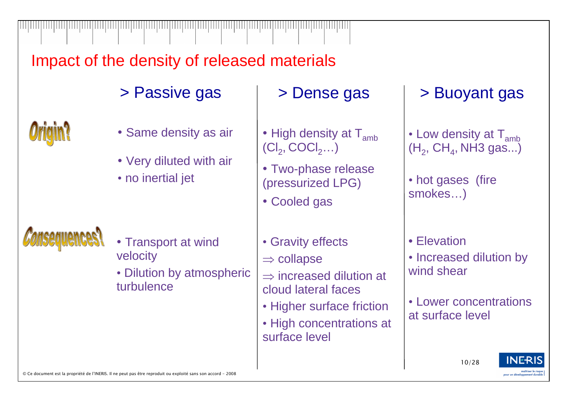Impact of the density of released materials> Passive gas• Same density as air • Very diluted with air > Dense gas > Buoyant gas• High density at  $\mathsf{T}_{\mathsf{amb}}$  $(Cl_2, COCl_2...)$ 

• no inertial jet

![](_page_9_Picture_2.jpeg)

• Transport at windvelocity• Dilution by atmosphericturbulence

• Gravity effects

• Cooled gas

⇒ collapse

 $\Rightarrow$  increased dilution at cloud lateral faces

• Two-phase release

(pressurized LPG)

- Higher surface friction
- High concentrations atsurface level

• Low density at  $T_{amb}$ (H<sub>2</sub>, CH<sub>4</sub>, NH3 gas...)

• hot gases (fire smokes…)

• Elevation

• Increased dilution bywind shear

• Lower concentrationsat surface level

10/28

![](_page_9_Picture_16.jpeg)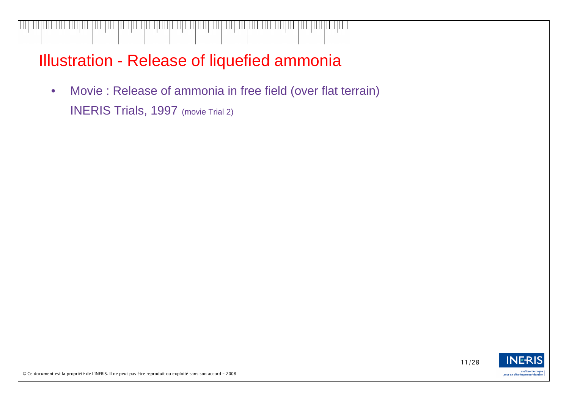Illustration - Release of liquefied ammonia

• Movie : Release of ammonia in free field (over flat terrain)INERIS Trials, 1997 (movie Trial 2)

|||||||||||||||||||||||||

![](_page_10_Picture_4.jpeg)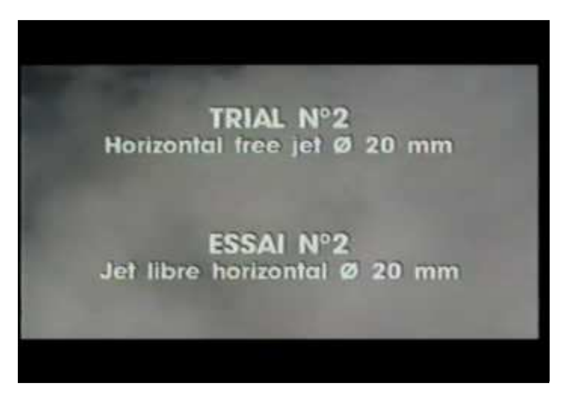# **TRIAL Nº2** Horizontal free jet Ø 20 mm

# **ESSAI Nº2** Jet libre horizontal Ø 20 mm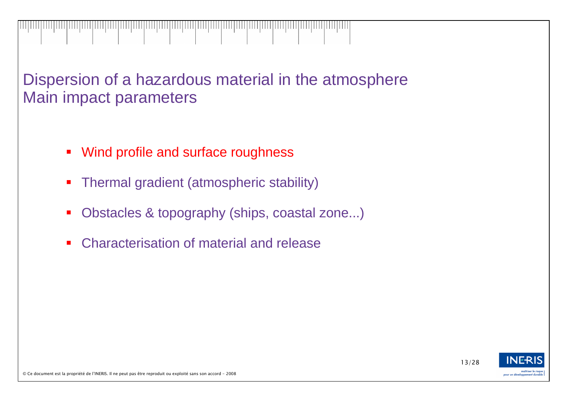Dispersion of a hazardous material in the atmosphereMain impact parameters

- **Wind profile and surface roughness**
- $\blacksquare$ Thermal gradient (atmospheric stability)
- L. Obstacles & topography (ships, coastal zone...)
- $\mathcal{L}_{\mathcal{A}}$ Characterisation of material and release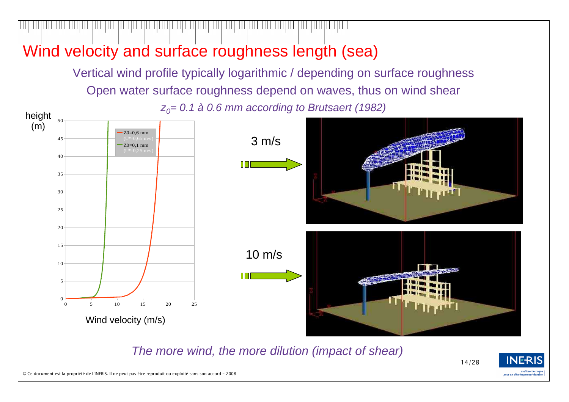# Wind velocity and surface roughness length (sea)

Vertical wind profile typically logarithmic / depending on surface roughnessOpen water surface roughness depend on waves, thus on wind shear $z_0$ = 0.1 à 0.6 mm according to Brutsaert (1982)

![](_page_13_Figure_3.jpeg)

14/28

![](_page_13_Picture_6.jpeg)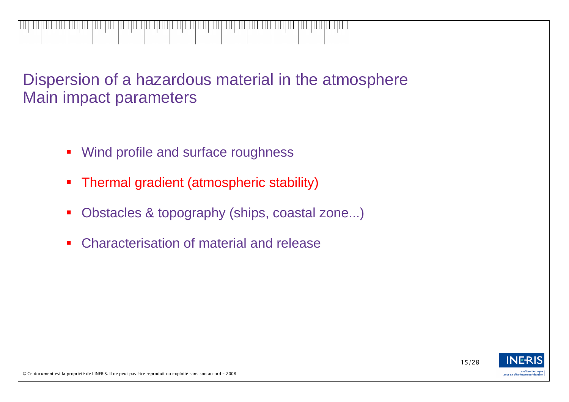Dispersion of a hazardous material in the atmosphereMain impact parameters

- $\blacksquare$ Wind profile and surface roughness
- $\blacksquare$ Thermal gradient (atmospheric stability)
- L. Obstacles & topography (ships, coastal zone...)
- $\mathcal{L}_{\mathcal{A}}$ Characterisation of material and release

![](_page_14_Picture_6.jpeg)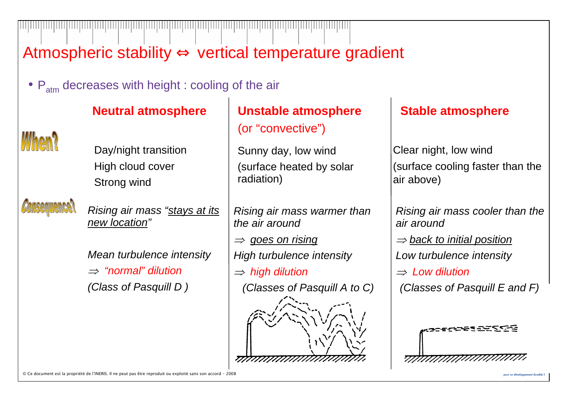# Atmospheric stability ⇔ vertical temperature gradient

•P<sub>atm</sub> decreases with height : cooling of the air

#### **Neutral atmosphere**Day/night transitionHigh cloud cover Strong wind Rising air mass "stays at its new location"Mean turbulence intensity**Unstable atmosphere**(or "convective")Sunny day, low wind(surface heated by solarradiation)Rising air mass warmer thanthe air around $\Rightarrow$  goes on rising Clear night, low wind(surface cooling faster than the air above)Rising air mass cooler than theair around $\Rightarrow$  back to initial position Low turbulence intensity**Stable atmosphere**

⇒ "normal" dilution (Class of Pasquill D ) High turbulence intensity

⇒ high dilution

(Classes of Pasquill A to C)

![](_page_15_Picture_8.jpeg)

our un développement durable

16/28

(Classes of Pasquill E and F)

⇒ Low dilution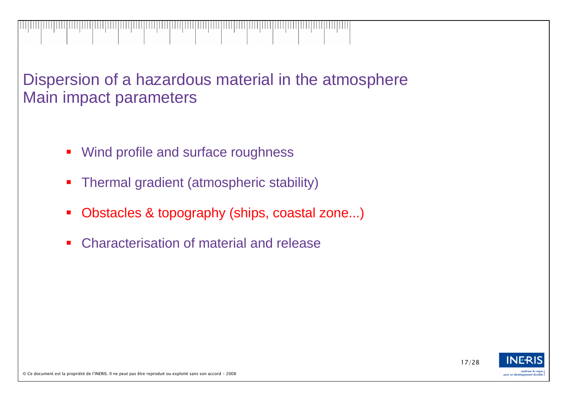Dispersion of a hazardous material in the atmosphereMain impact parameters

- $\blacksquare$ Wind profile and surface roughness
- $\blacksquare$ Thermal gradient (atmospheric stability)
- L. Obstacles & topography (ships, coastal zone...)
- $\mathcal{L}_{\mathcal{A}}$ Characterisation of material and release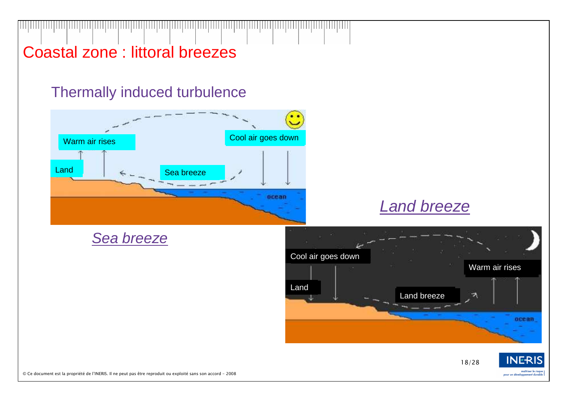# Coastal zone : littoral breezes

## Thermally induced turbulence

![](_page_17_Figure_3.jpeg)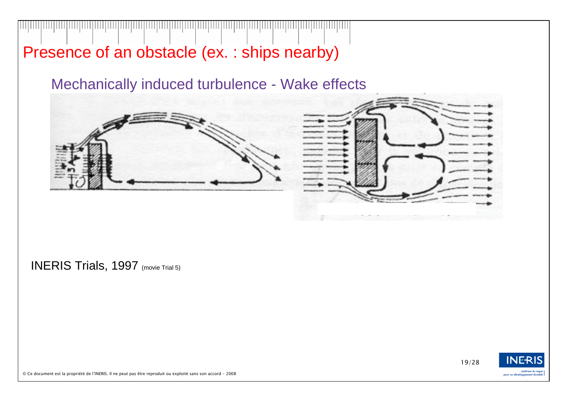Presence of an obstacle (ex. : ships nearby)

Mechanically induced turbulence - Wake effects

![](_page_18_Picture_2.jpeg)

![](_page_18_Figure_3.jpeg)

INERIS Trials, 1997 (movie Trial 5)

![](_page_18_Picture_5.jpeg)

![](_page_18_Picture_6.jpeg)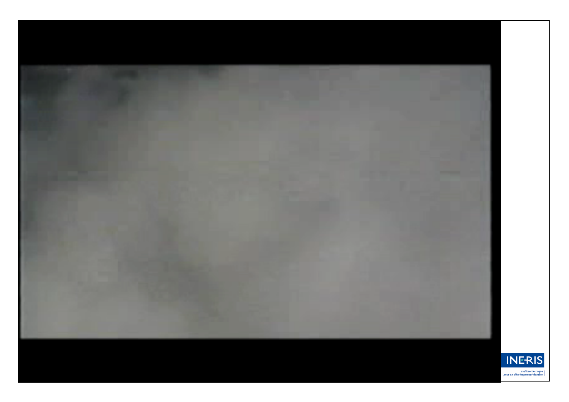![](_page_19_Picture_0.jpeg)

![](_page_19_Picture_1.jpeg)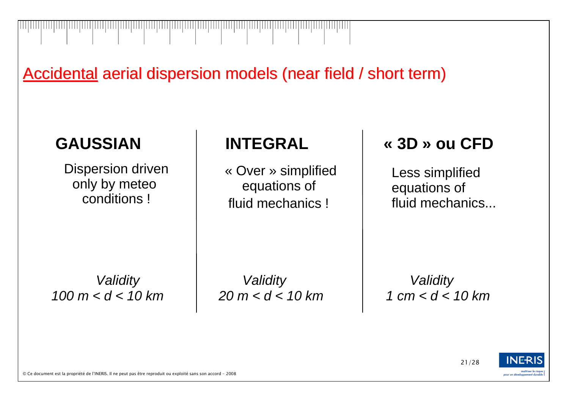Accidental aerial dispersion models (near field / short term)

Dispersion drivenonly by meteo conditions !

« Over » simplifiedequations of fluid mechanics !

# **GAUSSIAN « 3D » ou CFD INTEGRAL**

Less simplifiedequations of fluid mechanics...

 $100 m < d < 10 km$   $\qquad$   $20 m < d < 10 km$ 

Validity **Validity** Validity **Validity** Validity

 $1 cm < d < 10 km$ 

21/28

![](_page_20_Picture_10.jpeg)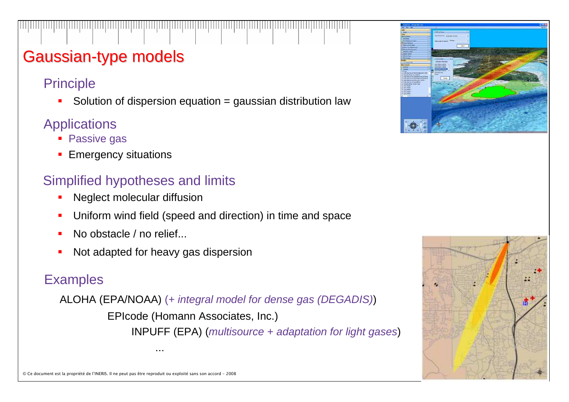# Gaussian-type models

### Principle

**Solution of dispersion equation = gaussian distribution law** П

# **Applications**

- Passive gas
- **Emergency situations**

# Simplified hypotheses and limits

- □ Neglect molecular diffusion
- □ Uniform wind field (speed and direction) in time and space
- □ No obstacle / no relief...
- □ Not adapted for heavy gas dispersion

...

# **Examples**

ALOHA (EPA/NOAA) (+ integral model for dense gas (DEGADIS))EPIcode (Homann Associates, Inc.)INPUFF (EPA) (multisource <sup>+</sup> adaptation for light gases)

![](_page_21_Picture_13.jpeg)

![](_page_21_Picture_14.jpeg)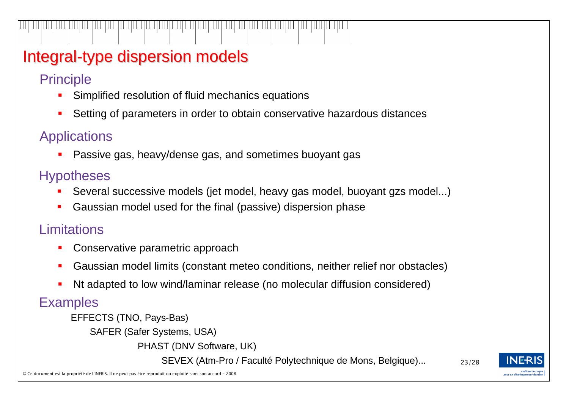# Integral-type dispersion models

#### Principle

- **Simplified resolution of fluid mechanics equations** П
- П Setting of parameters in order to obtain conservative hazardous distances

# **Applications**

П Passive gas, heavy/dense gas, and sometimes buoyant gas

# Hypotheses

- п Several successive models (jet model, heavy gas model, buoyant gzs model...)
- $\blacksquare$ Gaussian model used for the final (passive) dispersion phase

## **Limitations**

- П Conservative parametric approach
- П Gaussian model limits (constant meteo conditions, neither relief nor obstacles)
- П Nt adapted to low wind/laminar release (no molecular diffusion considered)

#### **Examples**

EFFECTS (TNO, Pays-Bas)

SAFER (Safer Systems, USA)

PHAST (DNV Software, UK)

SEVEX (Atm-Pro / Faculté Polytechnique de Mons, Belgique)...

![](_page_22_Picture_21.jpeg)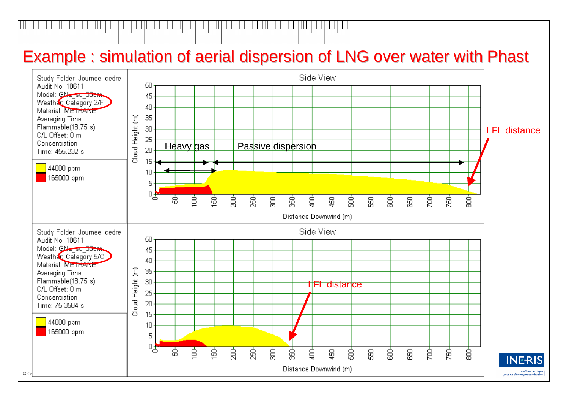# Example : simulation of aerial dispersion of LNG over water with Phast

![](_page_23_Figure_2.jpeg)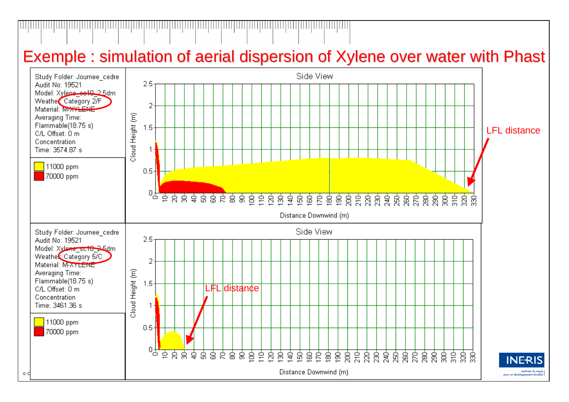# Exemple : simulation of aerial dispersion of Xylene over water with Phast

![](_page_24_Figure_2.jpeg)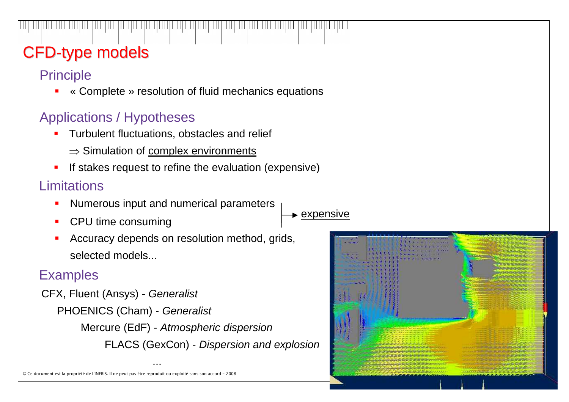# CFD-type models

#### Principle

 « Complete » resolution of fluid mechanics equations▉

# Applications / Hypotheses

- **Turbulent fluctuations, obstacles and relief** П
	- ⇒ Simulation of complex environments
- □ If stakes request to refine the evaluation (expensive)

## **Limitations**

- $\blacksquare$ Numerous input and numerical parameters
- $\blacksquare$ CPU time consuming
- ▉ Accuracy depends on resolution method, grids, selected models...

# **Examples**

CFX, Fluent (Ansys) - GeneralistPHOENICS (Cham) - GeneralistMercure (EdF) - *Atmospheric dispersion* FLACS (GexCon) - Dispersion and explosion

...

![](_page_25_Picture_13.jpeg)

 $\blacktriangleright$  expensive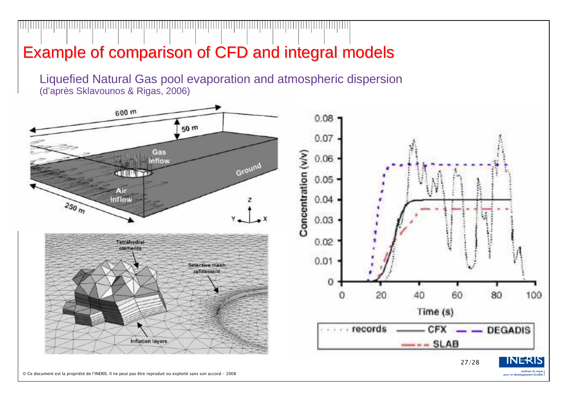# Example of comparison of CFD and integral models

Liquefied Natural Gas pool evaporation and atmospheric dispersion(d'après Sklavounos & Rigas, 2006)

![](_page_26_Figure_3.jpeg)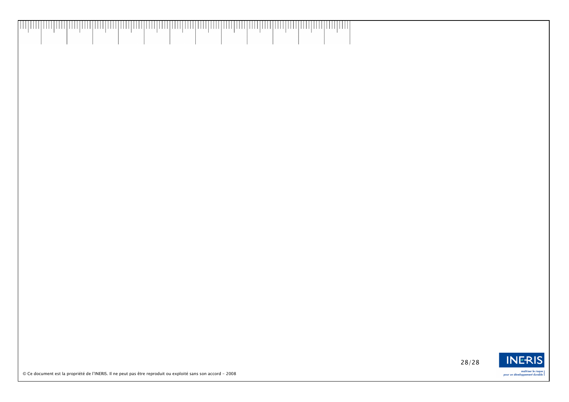© Ce document est la propriété de l'INERIS. Il ne peut pas être reproduit ou exploité sans son accord - 2008

28/28

![](_page_27_Picture_2.jpeg)